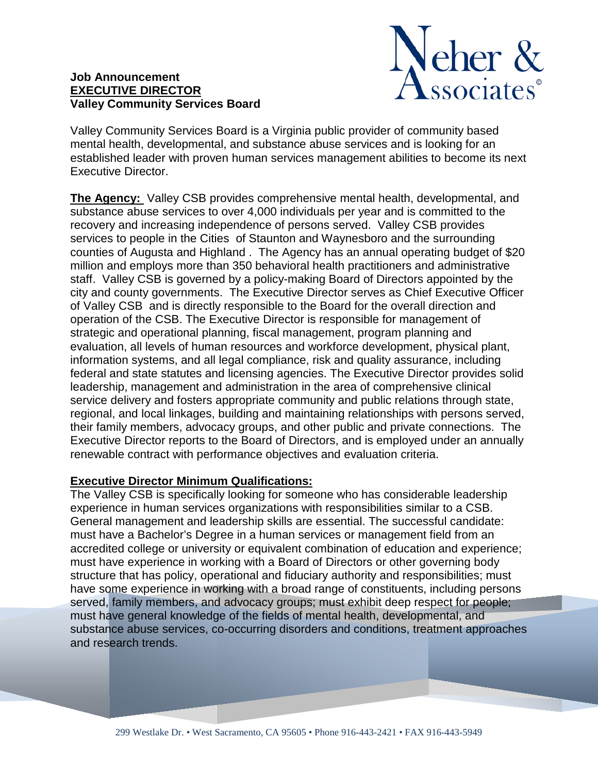## **Job Announcement EXECUTIVE DIRECTOR Valley Community Services Board**



Valley Community Services Board is a Virginia public provider of community based mental health, developmental, and substance abuse services and is looking for an established leader with proven human services management abilities to become its next Executive Director.

**The Agency:** Valley CSB provides comprehensive mental health, developmental, and substance abuse services to over 4,000 individuals per year and is committed to the recovery and increasing independence of persons served. Valley CSB provides services to people in the Cities of Staunton and Waynesboro and the surrounding counties of Augusta and Highland . The Agency has an annual operating budget of \$20 million and employs more than 350 behavioral health practitioners and administrative staff. Valley CSB is governed by a policy-making Board of Directors appointed by the city and county governments. The Executive Director serves as Chief Executive Officer of Valley CSB and is directly responsible to the Board for the overall direction and operation of the CSB. The Executive Director is responsible for management of strategic and operational planning, fiscal management, program planning and evaluation, all levels of human resources and workforce development, physical plant, information systems, and all legal compliance, risk and quality assurance, including federal and state statutes and licensing agencies. The Executive Director provides solid leadership, management and administration in the area of comprehensive clinical service delivery and fosters appropriate community and public relations through state, regional, and local linkages, building and maintaining relationships with persons served, their family members, advocacy groups, and other public and private connections. The Executive Director reports to the Board of Directors, and is employed under an annually renewable contract with performance objectives and evaluation criteria.

## **Executive Director Minimum Qualifications:**

The Valley CSB is specifically looking for someone who has considerable leadership experience in human services organizations with responsibilities similar to a CSB. General management and leadership skills are essential. The successful candidate: must have a Bachelor's Degree in a human services or management field from an accredited college or university or equivalent combination of education and experience; must have experience in working with a Board of Directors or other governing body structure that has policy, operational and fiduciary authority and responsibilities; must have some experience in working with a broad range of constituents, including persons served, family members, and advocacy groups; must exhibit deep respect for people; must have general knowledge of the fields of mental health, developmental, and substance abuse services, co-occurring disorders and conditions, treatment approaches and research trends.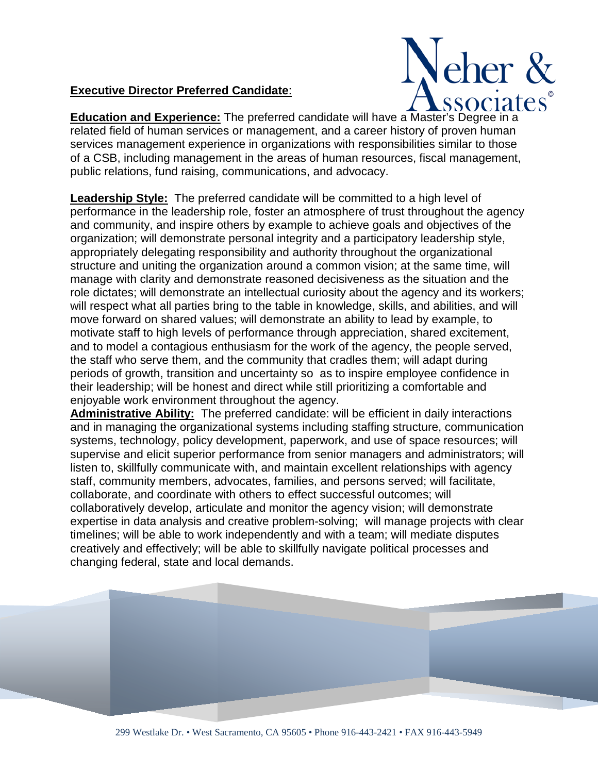## **Executive Director Preferred Candidate**:



**Education and Experience:** The preferred candidate will have a Master's Degree in a related field of human services or management, and a career history of proven human services management experience in organizations with responsibilities similar to those of a CSB, including management in the areas of human resources, fiscal management, public relations, fund raising, communications, and advocacy.

**Leadership Style:** The preferred candidate will be committed to a high level of performance in the leadership role, foster an atmosphere of trust throughout the agency and community, and inspire others by example to achieve goals and objectives of the organization; will demonstrate personal integrity and a participatory leadership style, appropriately delegating responsibility and authority throughout the organizational structure and uniting the organization around a common vision; at the same time, will manage with clarity and demonstrate reasoned decisiveness as the situation and the role dictates; will demonstrate an intellectual curiosity about the agency and its workers; will respect what all parties bring to the table in knowledge, skills, and abilities, and will move forward on shared values; will demonstrate an ability to lead by example, to motivate staff to high levels of performance through appreciation, shared excitement, and to model a contagious enthusiasm for the work of the agency, the people served, the staff who serve them, and the community that cradles them; will adapt during periods of growth, transition and uncertainty so as to inspire employee confidence in their leadership; will be honest and direct while still prioritizing a comfortable and enjoyable work environment throughout the agency.

**Administrative Ability:** The preferred candidate: will be efficient in daily interactions and in managing the organizational systems including staffing structure, communication systems, technology, policy development, paperwork, and use of space resources; will supervise and elicit superior performance from senior managers and administrators; will listen to, skillfully communicate with, and maintain excellent relationships with agency staff, community members, advocates, families, and persons served; will facilitate, collaborate, and coordinate with others to effect successful outcomes; will collaboratively develop, articulate and monitor the agency vision; will demonstrate expertise in data analysis and creative problem-solving; will manage projects with clear timelines; will be able to work independently and with a team; will mediate disputes creatively and effectively; will be able to skillfully navigate political processes and changing federal, state and local demands.